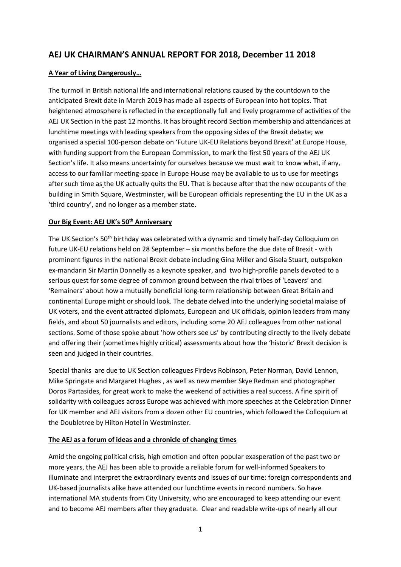# **AEJ UK CHAIRMAN'S ANNUAL REPORT FOR 2018, December 11 2018**

## **A Year of Living Dangerously…**

The turmoil in British national life and international relations caused by the countdown to the anticipated Brexit date in March 2019 has made all aspects of European into hot topics. That heightened atmosphere is reflected in the exceptionally full and lively programme of activities of the AEJ UK Section in the past 12 months. It has brought record Section membership and attendances at lunchtime meetings with leading speakers from the opposing sides of the Brexit debate; we organised a special 100-person debate on 'Future UK-EU Relations beyond Brexit' at Europe House, with funding support from the European Commission, to mark the first 50 years of the AEJ UK Section's life. It also means uncertainty for ourselves because we must wait to know what, if any, access to our familiar meeting-space in Europe House may be available to us to use for meetings after such time as the UK actually quits the EU. That is because after that the new occupants of the building in Smith Square, Westminster, will be European officials representing the EU in the UK as a 'third country', and no longer as a member state.

## **Our Big Event: AEJ UK's 50th Anniversary**

The UK Section's 50<sup>th</sup> birthday was celebrated with a dynamic and timely half-day Colloquium on future UK-EU relations held on 28 September – six months before the due date of Brexit - with prominent figures in the national Brexit debate including Gina Miller and Gisela Stuart, outspoken ex-mandarin Sir Martin Donnelly as a keynote speaker, and two high-profile panels devoted to a serious quest for some degree of common ground between the rival tribes of 'Leavers' and 'Remainers' about how a mutually beneficial long-term relationship between Great Britain and continental Europe might or should look. The debate delved into the underlying societal malaise of UK voters, and the event attracted diplomats, European and UK officials, opinion leaders from many fields, and about 50 journalists and editors, including some 20 AEJ colleagues from other national sections. Some of those spoke about 'how others see us' by contributing directly to the lively debate and offering their (sometimes highly critical) assessments about how the 'historic' Brexit decision is seen and judged in their countries.

Special thanks are due to UK Section colleagues Firdevs Robinson, Peter Norman, David Lennon, Mike Springate and Margaret Hughes , as well as new member Skye Redman and photographer Doros Partasides, for great work to make the weekend of activities a real success. A fine spirit of solidarity with colleagues across Europe was achieved with more speeches at the Celebration Dinner for UK member and AEJ visitors from a dozen other EU countries, which followed the Colloquium at the Doubletree by Hilton Hotel in Westminster.

## **The AEJ as a forum of ideas and a chronicle of changing times**

Amid the ongoing political crisis, high emotion and often popular exasperation of the past two or more years, the AEJ has been able to provide a reliable forum for well-informed Speakers to illuminate and interpret the extraordinary events and issues of our time: foreign correspondents and UK-based journalists alike have attended our lunchtime events in record numbers. So have international MA students from City University, who are encouraged to keep attending our event and to become AEJ members after they graduate. Clear and readable write-ups of nearly all our